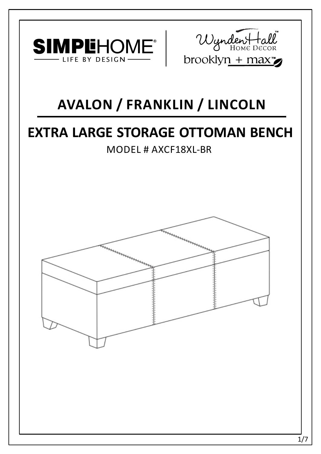



# **AVALON / FRANKLIN / LINCOLN**

# **EXTRA LARGE STORAGE OTTOMAN BENCH**

MODEL # AXCF18XL-BR

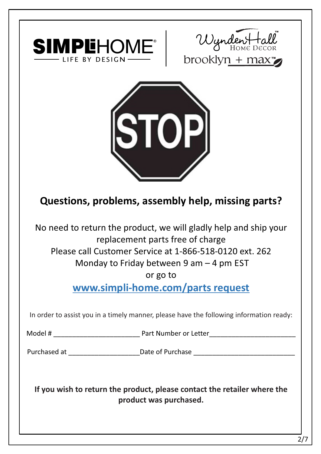





## **Questions, problems, assembly help, missing parts?**

No need to return the product, we will gladly help and ship your replacement parts free of charge Please call Customer Service at 1-866-518-0120 ext. 262 Monday to Friday between 9 am – 4 pm EST

or go to

**www.simpli-home.com/parts request** 

In order to assist you in a timely manner, please have the following information ready:

Model # \_\_\_\_\_\_\_\_\_\_\_\_\_\_\_\_\_\_\_\_\_\_\_ Part Number or Letter\_\_\_\_\_\_\_\_\_\_\_\_\_\_\_\_\_\_\_\_\_\_\_

Purchased at \_\_\_\_\_\_\_\_\_\_\_\_\_\_\_\_\_\_\_\_\_\_\_\_\_\_\_\_Date of Purchase \_\_\_\_\_\_\_\_\_\_\_\_\_\_\_\_\_\_\_\_\_\_\_

**If you wish to return the product, please contact the retailer where the product was purchased.**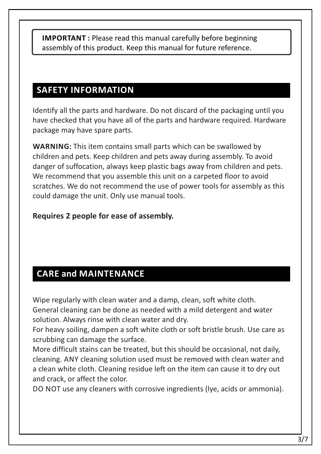**IMPORTANT**: Please read this manual carefully before beginning assembly of this product. Keep this manual for future reference.

### **SAFETY INFORMATION**

Identify all the parts and hardware. Do not discard of the packaging until you have checked that you have all of the parts and hardware required. Hardware package may have spare parts.

**WARNING:** This item contains small parts which can be swallowed by children and pets. Keep children and pets away during assembly. To avoid danger of suffocation, always keep plastic bags away from children and pets. We recommend that you assemble this unit on a carpeted floor to avoid scratches. We do not recommend the use of power tools for assembly as this could damage the unit. Only use manual tools.

#### **Requires 2 people for ease of assembly.**

## **CARE and MAINTENANCE**

Wipe regularly with clean water and a damp, clean, soft white cloth. General cleaning can be done as needed with a mild detergent and water solution. Always rinse with clean water and dry.

For heavy soiling, dampen a soft white cloth or soft bristle brush. Use care as scrubbing can damage the surface.

More difficult stains can be treated, but this should be occasional, not daily, cleaning. ANY cleaning solution used must be removed with clean water and a clean white cloth. Cleaning residue left on the item can cause it to dry out and crack, or affect the color.

DO NOT use any cleaners with corrosive ingredients (lye, acids or ammonia).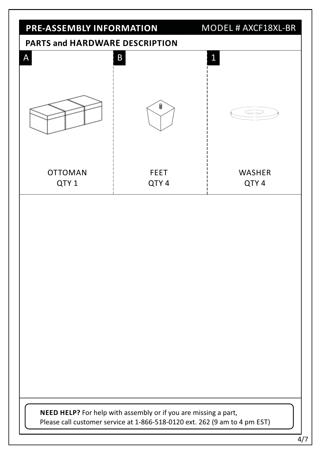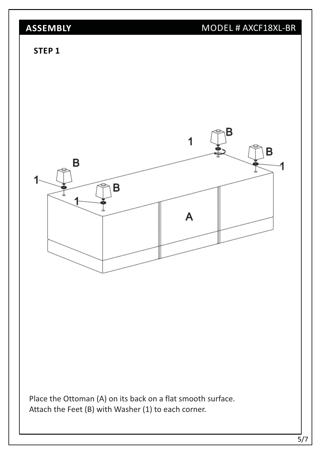## **ASSEMBLY** MODEL # AXCF18XL-BR

#### **STEP 1**

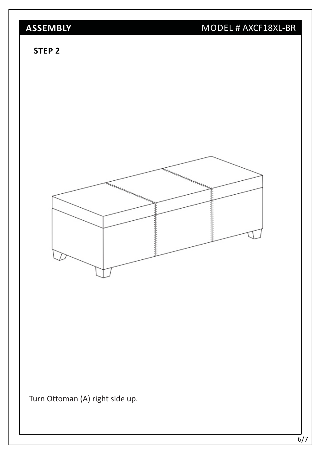# **ASSEMBLY** MODEL # AXCF18XL-BR

#### **STEP 2**



Turn Ottoman (A) right side up.